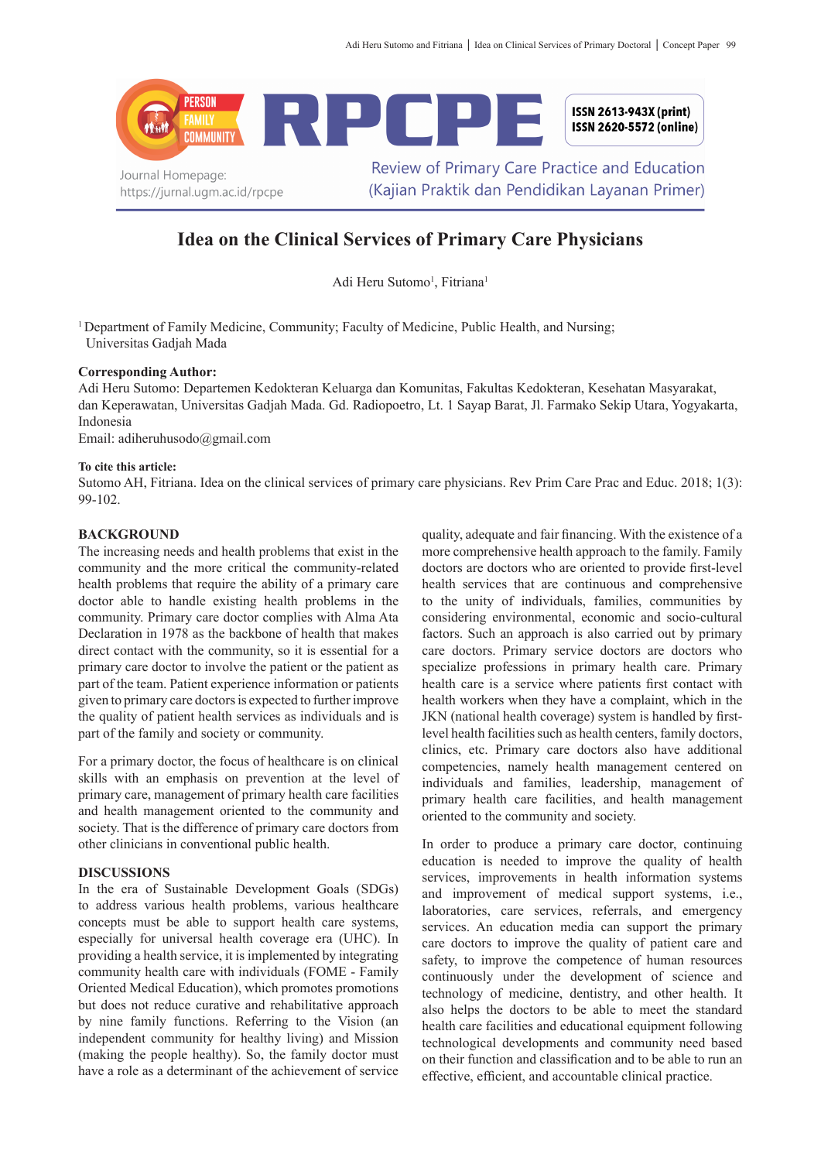

# **Idea on the Clinical Services of Primary Care Physicians**

Adi Heru Sutomo<sup>1</sup>, Fitriana<sup>1</sup>

<sup>1</sup> Department of Family Medicine, Community; Faculty of Medicine, Public Health, and Nursing; Universitas Gadjah Mada

## **Corresponding Author:**

Adi Heru Sutomo: Departemen Kedokteran Keluarga dan Komunitas, Fakultas Kedokteran, Kesehatan Masyarakat, dan Keperawatan, Universitas Gadjah Mada. Gd. Radiopoetro, Lt. 1 Sayap Barat, Jl. Farmako Sekip Utara, Yogyakarta, Indonesia

Email: adiheruhusodo@gmail.com

#### **To cite this article:**

Sutomo AH, Fitriana. Idea on the clinical services of primary care physicians. Rev Prim Care Prac and Educ. 2018; 1(3): 99-102.

## **BACKGROUND**

The increasing needs and health problems that exist in the community and the more critical the community-related health problems that require the ability of a primary care doctor able to handle existing health problems in the community. Primary care doctor complies with Alma Ata Declaration in 1978 as the backbone of health that makes direct contact with the community, so it is essential for a primary care doctor to involve the patient or the patient as part of the team. Patient experience information or patients given to primary care doctors is expected to further improve the quality of patient health services as individuals and is part of the family and society or community.

For a primary doctor, the focus of healthcare is on clinical skills with an emphasis on prevention at the level of primary care, management of primary health care facilities and health management oriented to the community and society. That is the difference of primary care doctors from other clinicians in conventional public health.

## **DISCUSSIONS**

In the era of Sustainable Development Goals (SDGs) to address various health problems, various healthcare concepts must be able to support health care systems, especially for universal health coverage era (UHC). In providing a health service, it is implemented by integrating community health care with individuals (FOME - Family Oriented Medical Education), which promotes promotions but does not reduce curative and rehabilitative approach by nine family functions. Referring to the Vision (an independent community for healthy living) and Mission (making the people healthy). So, the family doctor must have a role as a determinant of the achievement of service

quality, adequate and fair financing. With the existence of a more comprehensive health approach to the family. Family doctors are doctors who are oriented to provide first-level health services that are continuous and comprehensive to the unity of individuals, families, communities by considering environmental, economic and socio-cultural factors. Such an approach is also carried out by primary care doctors. Primary service doctors are doctors who specialize professions in primary health care. Primary health care is a service where patients first contact with health workers when they have a complaint, which in the JKN (national health coverage) system is handled by firstlevel health facilities such as health centers, family doctors, clinics, etc. Primary care doctors also have additional competencies, namely health management centered on individuals and families, leadership, management of primary health care facilities, and health management oriented to the community and society.

In order to produce a primary care doctor, continuing education is needed to improve the quality of health services, improvements in health information systems and improvement of medical support systems, i.e., laboratories, care services, referrals, and emergency services. An education media can support the primary care doctors to improve the quality of patient care and safety, to improve the competence of human resources continuously under the development of science and technology of medicine, dentistry, and other health. It also helps the doctors to be able to meet the standard health care facilities and educational equipment following technological developments and community need based on their function and classification and to be able to run an effective, efficient, and accountable clinical practice.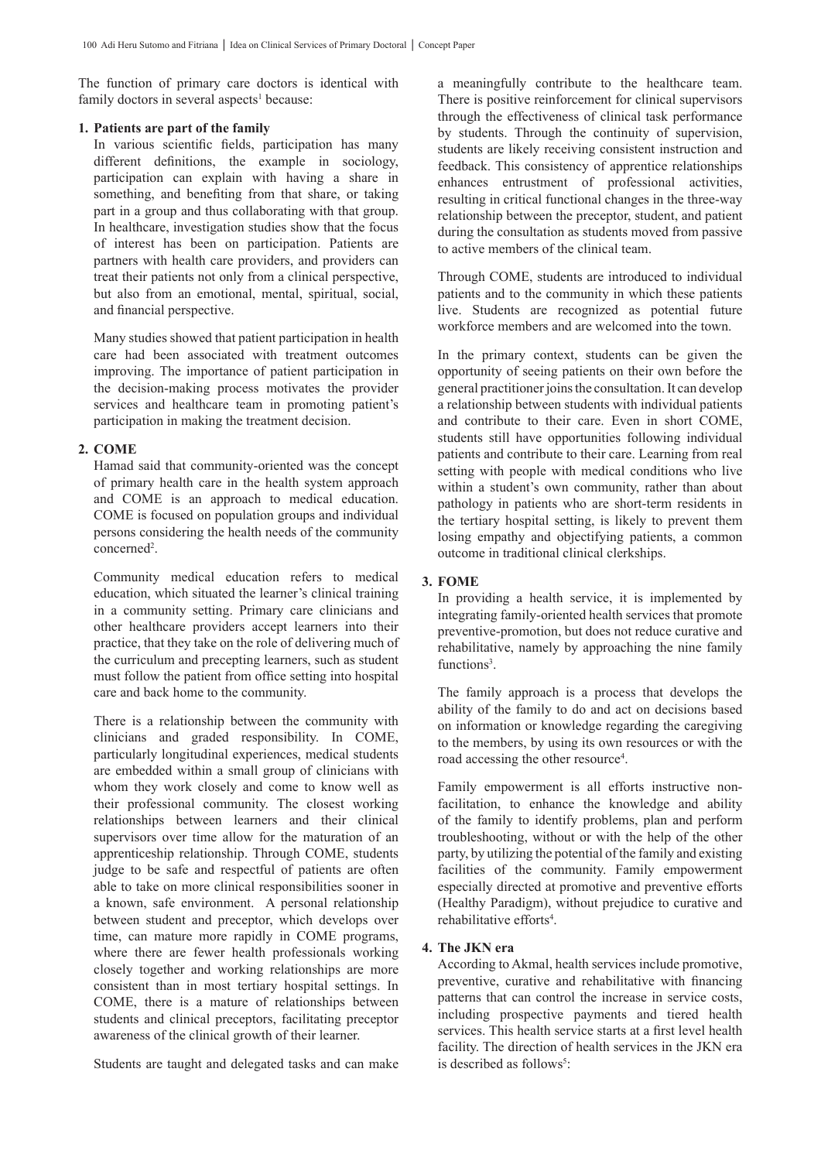The function of primary care doctors is identical with family doctors in several aspects<sup>1</sup> because:

## **1. Patients are part of the family**

In various scientific fields, participation has many different definitions, the example in sociology, participation can explain with having a share in something, and benefiting from that share, or taking part in a group and thus collaborating with that group. In healthcare, investigation studies show that the focus of interest has been on participation. Patients are partners with health care providers, and providers can treat their patients not only from a clinical perspective, but also from an emotional, mental, spiritual, social, and financial perspective.

Many studies showed that patient participation in health care had been associated with treatment outcomes improving. The importance of patient participation in the decision-making process motivates the provider services and healthcare team in promoting patient's participation in making the treatment decision.

## **2. COME**

Hamad said that community-oriented was the concept of primary health care in the health system approach and COME is an approach to medical education. COME is focused on population groups and individual persons considering the health needs of the community concerned<sup>2</sup>.

Community medical education refers to medical education, which situated the learner's clinical training in a community setting. Primary care clinicians and other healthcare providers accept learners into their practice, that they take on the role of delivering much of the curriculum and precepting learners, such as student must follow the patient from office setting into hospital care and back home to the community.

There is a relationship between the community with clinicians and graded responsibility. In COME, particularly longitudinal experiences, medical students are embedded within a small group of clinicians with whom they work closely and come to know well as their professional community. The closest working relationships between learners and their clinical supervisors over time allow for the maturation of an apprenticeship relationship. Through COME, students judge to be safe and respectful of patients are often able to take on more clinical responsibilities sooner in a known, safe environment. A personal relationship between student and preceptor, which develops over time, can mature more rapidly in COME programs, where there are fewer health professionals working closely together and working relationships are more consistent than in most tertiary hospital settings. In COME, there is a mature of relationships between students and clinical preceptors, facilitating preceptor awareness of the clinical growth of their learner.

Students are taught and delegated tasks and can make

a meaningfully contribute to the healthcare team. There is positive reinforcement for clinical supervisors through the effectiveness of clinical task performance by students. Through the continuity of supervision, students are likely receiving consistent instruction and feedback. This consistency of apprentice relationships enhances entrustment of professional activities, resulting in critical functional changes in the three-way relationship between the preceptor, student, and patient during the consultation as students moved from passive to active members of the clinical team.

Through COME, students are introduced to individual patients and to the community in which these patients live. Students are recognized as potential future workforce members and are welcomed into the town.

In the primary context, students can be given the opportunity of seeing patients on their own before the general practitioner joins the consultation. It can develop a relationship between students with individual patients and contribute to their care. Even in short COME, students still have opportunities following individual patients and contribute to their care. Learning from real setting with people with medical conditions who live within a student's own community, rather than about pathology in patients who are short-term residents in the tertiary hospital setting, is likely to prevent them losing empathy and objectifying patients, a common outcome in traditional clinical clerkships.

## **3. FOME**

In providing a health service, it is implemented by integrating family-oriented health services that promote preventive-promotion, but does not reduce curative and rehabilitative, namely by approaching the nine family functions<sup>3</sup>.

The family approach is a process that develops the ability of the family to do and act on decisions based on information or knowledge regarding the caregiving to the members, by using its own resources or with the road accessing the other resource<sup>4</sup>.

Family empowerment is all efforts instructive nonfacilitation, to enhance the knowledge and ability of the family to identify problems, plan and perform troubleshooting, without or with the help of the other party, by utilizing the potential of the family and existing facilities of the community. Family empowerment especially directed at promotive and preventive efforts (Healthy Paradigm), without prejudice to curative and rehabilitative efforts<sup>4</sup>.

#### **4. The JKN era**

According to Akmal, health services include promotive, preventive, curative and rehabilitative with financing patterns that can control the increase in service costs, including prospective payments and tiered health services. This health service starts at a first level health facility. The direction of health services in the JKN era is described as follows<sup>5</sup>: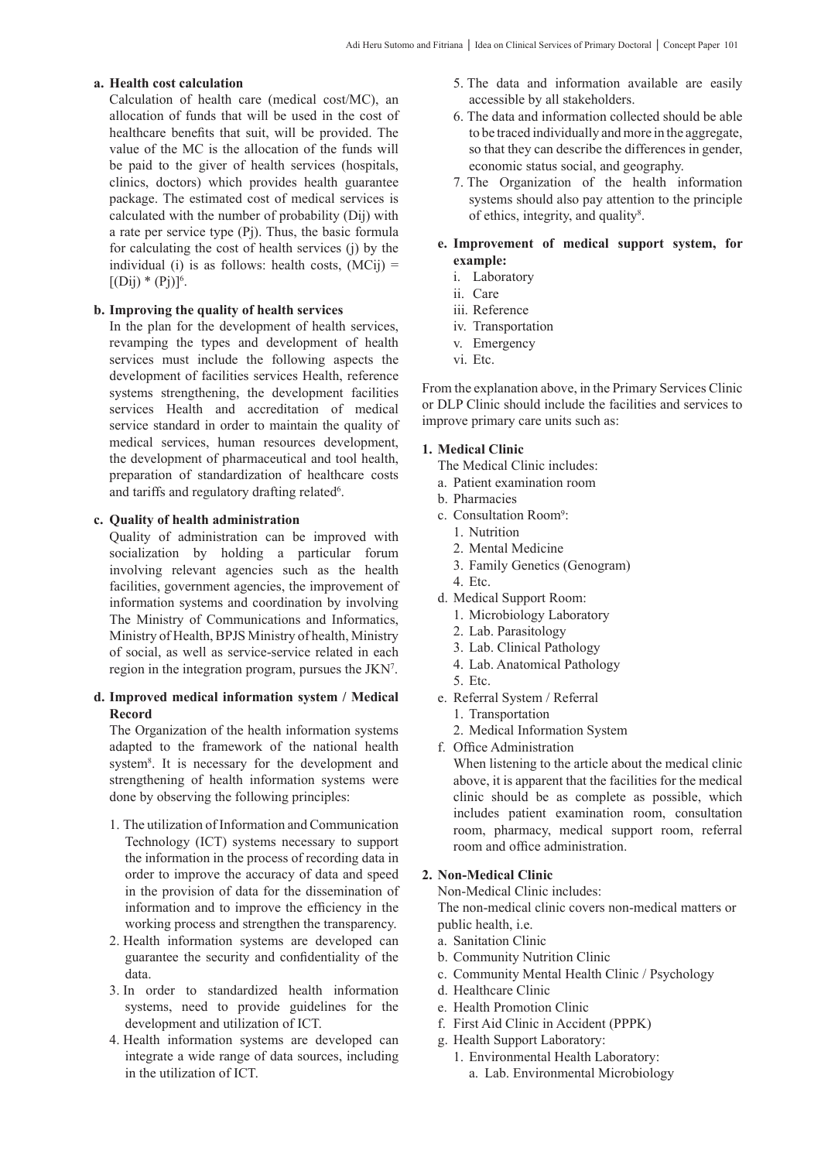## **a. Health cost calculation**

Calculation of health care (medical cost/MC), an allocation of funds that will be used in the cost of healthcare benefits that suit, will be provided. The value of the MC is the allocation of the funds will be paid to the giver of health services (hospitals, clinics, doctors) which provides health guarantee package. The estimated cost of medical services is calculated with the number of probability (Dij) with a rate per service type (Pj). Thus, the basic formula for calculating the cost of health services (j) by the individual (i) is as follows: health costs,  $(MCij)$  =  $[(Dij) * (Pj)]<sup>6</sup>$ .

## **b. Improving the quality of health services**

In the plan for the development of health services, revamping the types and development of health services must include the following aspects the development of facilities services Health, reference systems strengthening, the development facilities services Health and accreditation of medical service standard in order to maintain the quality of medical services, human resources development, the development of pharmaceutical and tool health, preparation of standardization of healthcare costs and tariffs and regulatory drafting related<sup>6</sup>.

#### **c. Quality of health administration**

Quality of administration can be improved with socialization by holding a particular forum involving relevant agencies such as the health facilities, government agencies, the improvement of information systems and coordination by involving The Ministry of Communications and Informatics, Ministry of Health, BPJS Ministry of health, Ministry of social, as well as service-service related in each region in the integration program, pursues the JKN<sup>7</sup>.

#### **d. Improved medical information system / Medical Record**

The Organization of the health information systems adapted to the framework of the national health system<sup>8</sup>. It is necessary for the development and strengthening of health information systems were done by observing the following principles:

- 1. The utilization of Information and Communication Technology (ICT) systems necessary to support the information in the process of recording data in order to improve the accuracy of data and speed in the provision of data for the dissemination of information and to improve the efficiency in the working process and strengthen the transparency.
- 2. Health information systems are developed can guarantee the security and confidentiality of the data.
- 3. In order to standardized health information systems, need to provide guidelines for the development and utilization of ICT.
- 4. Health information systems are developed can integrate a wide range of data sources, including in the utilization of ICT.
- 5. The data and information available are easily accessible by all stakeholders.
- 6. The data and information collected should be able to be traced individually and more in the aggregate, so that they can describe the differences in gender, economic status social, and geography.
- 7. The Organization of the health information systems should also pay attention to the principle of ethics, integrity, and quality<sup>8</sup>.
- **e. Improvement of medical support system, for example:**
	- i. Laboratory
	- ii. Care
	- iii. Reference
	- iv. Transportation
	- v. Emergency
	- vi. Etc.

From the explanation above, in the Primary Services Clinic or DLP Clinic should include the facilities and services to improve primary care units such as:

## **1. Medical Clinic**

The Medical Clinic includes:

- a. Patient examination room
- b. Pharmacies
- c. Consultation Room<sup>9</sup>:
	- 1. Nutrition
	- 2. Mental Medicine
	- 3. Family Genetics (Genogram)
- 4. Etc.
- d. Medical Support Room:
	- 1. Microbiology Laboratory
	- 2. Lab. Parasitology
	- 3. Lab. Clinical Pathology
	- 4. Lab. Anatomical Pathology
	- 5. Etc.
- e. Referral System / Referral
	- 1. Transportation
	- 2. Medical Information System
- f. Office Administration

When listening to the article about the medical clinic above, it is apparent that the facilities for the medical clinic should be as complete as possible, which includes patient examination room, consultation room, pharmacy, medical support room, referral room and office administration.

## **2. Non-Medical Clinic**

Non-Medical Clinic includes: The non-medical clinic covers non-medical matters or public health, i.e.

- a. Sanitation Clinic
- b. Community Nutrition Clinic
- c. Community Mental Health Clinic / Psychology
- d. Healthcare Clinic
- e. Health Promotion Clinic
- f. First Aid Clinic in Accident (PPPK)
- g. Health Support Laboratory:
	- 1. Environmental Health Laboratory:
		- a. Lab. Environmental Microbiology